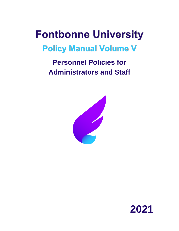# **Fontbonne University**

# **Policy Manual Volume V**

# **Personnel Policies for Administrators and Staff**



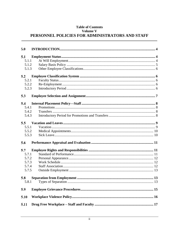#### **Table of Contents** Volume V PERSONNEL POLICIES FOR ADMINISTRATORS AND STAFF

| 5.0   |  |
|-------|--|
| 5.1   |  |
| 5.1.1 |  |
| 5.1.2 |  |
| 5.1.3 |  |
| 5.2   |  |
| 5.2.1 |  |
| 5.2.2 |  |
| 5.2.3 |  |
| 5.3   |  |
| 5.4   |  |
| 5.4.1 |  |
| 5.4.2 |  |
| 5.4.3 |  |
| 5.5   |  |
| 5.5.1 |  |
| 5.5.2 |  |
| 5.5.3 |  |
| 5.6   |  |
| 5.7   |  |
| 5.7.1 |  |
| 5.7.2 |  |
| 5.7.3 |  |
| 5.7.4 |  |
| 5.7.5 |  |
| 5.8   |  |
| 5.8.1 |  |
| 5.9   |  |
| 5.10  |  |
| 5.11  |  |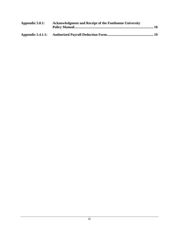| Appendix $5.0.1$ : | <b>Acknowledgment and Receipt of the Fontbonne University</b> |  |
|--------------------|---------------------------------------------------------------|--|
|                    |                                                               |  |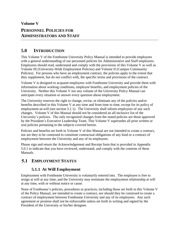**Volume V**

# **PERSONNEL POLICIES FOR ADMINISTRATORS AND STAFF**

# <span id="page-3-0"></span>**5.0 INTRODUCTION**

This Volume V of the Fontbonne University Policy Manual is intended to provide employees with a general understanding of our personnel policies for Administrative and Staff employees. Employees should read, understand and comply with the provisions of this Volume V as well as Volume III (University-Wide Employment Policies) and Volume II (Campus Community Policies). For persons who have an employment contract, the policies apply to the extent that they supplement, but do not conflict with, the specific terms and provisions of the contract.

Volume V is designed to acquaint employees with Fontbonne University and provide them with information about working conditions, employee benefits, and employment policies of the University. Neither this Volume V nor any volume of the University Policy Manual can anticipate every situation or answer every question about employment.

The University reserves the right to change, revise, or eliminate any of the policies and/or benefits described in this Volume V at any time and from time to time, except for its policy of employment-at-will (see section 5.1.1). The University shall inform employees of any such changes. Volume V of this Manual should not be considered an all-inclusive list of the University's policies. The only recognized changes from the stated policies are those approved by the President's Executive Leadership Team. This Volume V supersedes all prior written or oral policies pertaining to the subjects covered herein.

Policies and benefits set forth in Volume V of this Manual are not intended to create a contract, nor are they to be construed to constitute contractual obligations of any kind or a contract of employment between the University and any of its employees.

Please sign and return the Acknowledgement and Receipt form that is provided in Appendix 5.0.1 to indicate that you have reviewed, understand, and comply with the contents of these Manuals.

# <span id="page-3-2"></span><span id="page-3-1"></span>**EMPLOYMENT STATUS**

## **5.1.1 At Will Employment**

Employment with Fontbonne University is voluntarily entered into. The employee is free to resign at will at any time, and the University may terminate the employment relationship at will at any time, with or without notice or cause.

None of Fontbonne's policies, procedures or practices, including those set forth in this Volume V of the Policy Manual, are intended to create a contract, nor should they be construed to create a contract of employment between Fontbonne University and any of its employees. Any such agreement or promise shall not be enforceable unless set forth in writing and signed by the President of the University or his/her designee.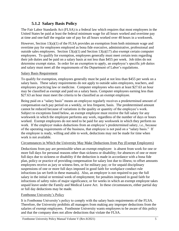## **5.1.2 Salary Basis Policy**

<span id="page-4-0"></span>The Fair Labor Standards Act (FLSA) is a federal law which requires that most employees in the United States be paid at least the federal minimum wage for all hours worked and overtime pay at time and one-half the regular rate of pay for all hours worked over 40 hours in a workweek.

However, Section 13(a)(1) of the FLSA provides an exemption from both minimum wage and overtime pay for employees employed as bona fide executive, administrative, professional and outside sales employees. Section  $13(a)(1)$  and Section  $13(a)(17)$  also exempt certain computer employees. To qualify for exemption, employees generally must meet certain tests regarding their job duties and be paid on a salary basis at not less than \$455 per week. Job titles do not determine exempt status. In order for an exemption to apply, an employee's specific job duties and salary must meet all the requirements of the Department of Labor's regulations.

#### Salary Basis Requirement

To qualify for exemption, employees generally must be paid at not less than \$455 per week on a salary basis. These salary requirements do not apply to outside sales employees, teachers, and employees practicing law or medicine. Computer employees who earn at least \$27.63 an hour may be classified as exempt and paid on a salary basis. Computer employees earning less than \$27.63 an hour must meet the criteria to be classified as an exempt employee.

Being paid on a "salary basis" means an employee regularly receives a predetermined amount of compensation each pay period on a weekly, or less frequent, basis. The predetermined amount cannot be reduced because of variations in the quality or quantity of the employee's work. Subject to exceptions listed below, an exempt employee must receive the full salary for any workweek in which the employee performs any work, regardless of the number of days or hours worked. Exempt employees do not need to be paid for any workweek in which they perform no work. If the employer makes deductions from an employee's predetermined salary, i.e., because of the operating requirements of the business, that employee is not paid on a "salary basis." If the employee is ready, willing and able to work, deductions may not be made for time when work is not available.

#### Circumstances in Which the University May Make Deductions from Pay (Exempt Employees)

Deductions from pay are permissible when an exempt employee: is absent from work for one or more full days for personal reasons other than sickness or disability; for absences of one or more full days due to sickness or disability if the deduction is made in accordance with a bona fide plan, policy or practice of providing compensation for salary lost due to illness; to offset amounts employees receive as jury or witness fees, or for military pay; or for unpaid disciplinary suspensions of one or more full days imposed in good faith for workplace conduct rule infractions (as set forth in these manuals). Also, an employer is not required to pay the full salary in the initial or terminal week of employment; for penalties imposed in good faith for infractions of safety rules of major significance, or for weeks in which an exempt employee takes unpaid leave under the Family and Medical Leave Act. In these circumstances, either partial day or full day deductions may be made.

#### Fontbonne University's Policy

It is Fontbonne University's policy to comply with the salary basis requirements of the FLSA. Therefore, the University prohibits all managers from making any improper deductions from the salaries of exempt employees. Fontbonne University wants employees to be aware of this policy and that the company does not allow deductions that violate the FLSA.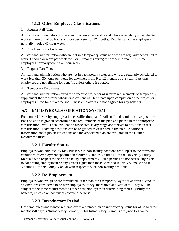# **5.1.3 Other Employee Classifications**

#### <span id="page-5-0"></span>1. Regular Full-Time

All staff or administrators who are not in a temporary status and who are regularly scheduled to work a minimum of 30 hours or more per week for 12 months. Regular full-time employees normally work a 40-hour week.

#### 2. Academic Year Full-Time

All staff and administration who are not in a temporary status and who are regularly scheduled to work 30 hours or more per week for 9 or 10 months during the academic year. Full-time employees normally work a 40-hour week.

#### 3. Regular Part-Time

All staff and administration who are not in a temporary status and who are regularly scheduled to work less than 30 hours per week for anywhere from 9 to 12 months of the year. Part-time employees are not eligible for benefits unless otherwise stated.

#### 4. Temporary Employees

All staff and administration hired for a specific project or as interim replacements to temporarily supplement the workforce whose employment will terminate upon completion of the project or employees hired for a fixed period. These employees are not eligible for any benefits.

#### <span id="page-5-1"></span> $5.2$ **EMPLOYEE CLASSIFICATION SYSTEM**

Fontbonne University employs a job classification plan for all staff and administrative positions. Each position is graded according to the requirements of the plan and placed in the appropriate classification level. Each level has an associated salary range appropriate to positions in that classification. Existing positions can be re-graded as described in the plan. Additional information about job classifications and the associated plan are available in the Human Resources Office.

# **5.2.1 Faculty Status**

<span id="page-5-2"></span>Employees who hold faculty rank but serve in non-faculty positions are subject to the terms and conditions of employment specified in Volume V and in Volume III of the University Policy Manuals with respect to their non-faculty appointments. Such persons do not accrue any rights to continuing employment or any greater rights than those specified in this Volume V and in Volume III of this Policy Manual with respect to such non-faculty positions.

# **5.2.2 Re-Employment**

<span id="page-5-3"></span>Employees who resign or are terminated, other than for a temporary layoff or approved leave of absence, are considered to be new employees if they are rehired at a later date. They will be subject to the same requirements as other new employees in determining their eligibility for benefits, unless plan documents dictate otherwise.

# **5.2.3 Introductory Period**

<span id="page-5-4"></span>New employees and transferred employees are placed on an introductory status for of up to three months (90 days) ("Introductory Period"). This Introductory Period is designed to give the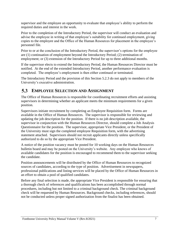supervisor and the employee an opportunity to evaluate that employee's ability to perform the required duties and interest in the work.

Prior to the completion of the Introductory Period, the supervisor will conduct an evaluation and advise the employee in writing of that employee's suitability for continued employment, giving copies to the employee and the Office of the Human Resources for placement in the employee's personnel file.

Prior to or at the conclusion of the Introductory Period, the supervisor's options for the employee are (1) continuation of employment beyond the Introductory Period; (2) termination of employment; or (3) extension of the Introductory Period for up to three additional months.

If the supervisor elects to extend the Introductory Period, the Human Resources Director must be notified. At the end of the extended Introductory Period, another performance evaluation is completed. The employee's employment is then either continued or terminated.

The Introductory Period and the provision of this Section 5.2.3 do not apply to members of the University's executive administration.

# <span id="page-6-0"></span>**EMPLOYEE SELECTION AND ASSIGNMENT**

The Office of Human Resources is responsible for coordinating recruitment efforts and assisting supervisors in determining whether an applicant meets the minimum requirements for a given position.

Supervisors initiate recruitment by completing an Employee Requisition form. Forms are available in the Office of Human Resources. The supervisor is responsible for reviewing and updating the job description for the position. If there is no job description available, the supervisor in conjunction with the Human Resources Director, should complete a Job Analysis Questionnaire for the position. The supervisor, appropriate Vice President, or the President of the University must sign the completed employee Requisition form, with the advertising statement attached. Supervisors should not recruit applicants directly unless specifically authorized to do so by the appropriate Vice President.

A notice of the position vacancy must be posted for 10 working days on the Human Resources bulletin board and may be posted on the University's website. Any employee who knows of available candidates for the position is encouraged to recommend them to the supervisor seeking the candidate.

Position announcements will be distributed by the Office of Human Resources to recognized sources of candidates, according to the type of position. Advertisement in newspapers, professional publications and listing services will be placed by the Office of Human Resources in an effort to obtain a pool of qualified candidates.

Before any final selection is made, the appropriate Vice President is responsible for ensuring that a thorough check of references and qualifications has been accomplished through normal procedures, including but not limited to a criminal background check. The criminal background check will be requested by Human Resources. Background checks, including references, should not be conducted unless proper signed authorization from the finalist has been obtained.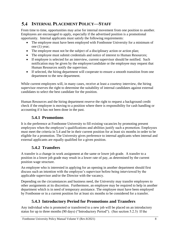# <span id="page-7-0"></span>**INTERNAL PLACEMENT POLICY—STAFF**

From time to time, opportunities may arise for internal movement from one position to another. Employees are encouraged to apply, especially if the advertised position is a promotional opportunity. Internal applicants must satisfy the following requirements:

- The employee must have been employed with Fontbonne University for a minimum of one (1) year;
- The employee must not be the subject of a disciplinary action or action plan;
- The employee must submit credentials and notice of interest to Human Resources;
- If employee is selected for an interview, current supervisor should be notified. Such notification may be given by the employee/candidate or the employee may request that Human Resources notify the supervisor.
- If selected, the hiring department will cooperate to ensure a smooth transition from one department to the new department.

While current employees will, in many cases, receive at least a courtesy interview, the hiring supervisor reserves the right to determine the suitability of internal candidates against external candidates to select the best candidate for the position.

Human Resources and the hiring department reserve the right to request a background credit check if the employee is moving to a position where there is responsibility for cash handling or accounting if it has not been done in the past.

# **5.4.1 Promotions**

<span id="page-7-1"></span>It is the preference at Fontbonne University to fill existing vacancies by promoting present employees when the employee's qualifications and abilities justify such a promotion. Employees must meet the criteria in 5.4 and be in their current position for at least six months in order to be eligible for a promotion. The University gives preference to internal applicants when internal and external applicants are equally qualified for a given position.

# **5.4.2 Transfers**

<span id="page-7-2"></span>A transfer is a change in work assignment at the same or lower job grade. A transfer to a position in a lower job grade may result in a lower rate of pay, as determined by the current position wage structure.

An employee who is interested in applying for an opening in another department should first discuss such an intention with the employee's supervisor before being interviewed by the applicable supervisor and/or the Director with the vacancy.

Depending on the circumstances and business need, the University may transfer employees to other assignments at its discretion. Furthermore, an employee may be required to help in another department which is in need of temporary assistance. The employee must have been employed by Fontbonne or in a current position for at least six months to be considered for a transfer.

# **5.4.3 Introductory Period for Promotions and Transfers**

<span id="page-7-3"></span>Any individual who is promoted or transferred to a new job will be placed on an introductory status for up to three months (90 days) ("Introductory Period"). (See section 5.2.3) If the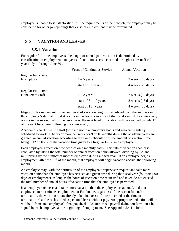employee is unable to satisfactorily fulfill the requirements of the new job, the employee may be considered for other job openings that exist, or employment may be terminated.

#### <span id="page-8-1"></span><span id="page-8-0"></span> $5.5$ **VACATION AND LEAVES**

#### **5.5.1 Vacation**

For regular full-time employees, the length of annual paid vacation is determined by classification of employment, and years of continuous service earned through a current fiscal year (July 1 through June 30).

|                     | <b>Years of Continuous Service</b> | <b>Annual Vacation</b>        |
|---------------------|------------------------------------|-------------------------------|
| Regular Full-Time   |                                    |                               |
| <b>Exempt Staff</b> | $1 - 5$ years                      | 3 weeks (15 days)             |
|                     | start of $6+$ years                | 4 weeks (20 days)             |
| Regular Full-Time   |                                    |                               |
| Nonexempt Staff     | $1 - 2$ years                      | $2$ weeks $(10 \text{ days})$ |
|                     | start of $3 - 10$ years            | $3$ weeks $(15$ days)         |
|                     | start of $11+$ years               | 4 weeks (20 days)             |

Eligibility for movement to the next level of vacation length is calculated from the anniversary of the employee's date of hire if it occurs in the first six months of the fiscal year. If the anniversary occurs in the second half of the fiscal year, the next level of vacation will be awarded on July 1<sup>st</sup> of the next fiscal year following the anniversary.

Academic Year Full-Time staff (who are not in a temporary status and who are regularly scheduled to work 30 hours or more per week for 9 or 10 months during the academic year) are granted an annual vacation according to the same schedule with the amount of vacation time being 9/12 or 10/12 of the vacation time given to a Regular Full-Time employee.

Each employee's vacation time accrues on a monthly basis. This rate of vacation accrual is calculated by taking the total number of annual vacation hours allowed, dividing by 12, and multiplying by the number of months employed during a fiscal year. If an employee begins employment after the  $15<sup>th</sup>$  of the month, that employee will begin vacation accrual the following month.

An employee may, with the permission of the employee's supervisor, request and take more vacation hours than the employee has accrued at a given time during the fiscal year (following 90 days of employment), as long as the hours of vacation time requested and taken do not exceed the total number of annual hours of vacation time that the employee is permitted.

If an employee requests and takes more vacation than the employee has accrued, and that employee later terminates employment at Fontbonne, regardless of the reason for such termination, the vacation hours already taken in excess of those accrued at the time of termination shall be reclassified as personal leave without pay. An appropriate deduction will be withheld from such employee's final paycheck. An authorized payroll deduction form must be signed by each employee at the beginning of employment. See Appendix 5.4.1.1 for the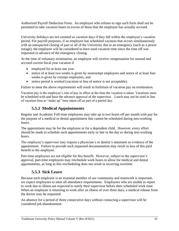Authorized Payroll Deduction Form. An employee who refuses to sign such form shall not be permitted to take vacation hours in excess of those that the employee has actually accrued.

University holidays are not counted as vacation days if they fall within the employee's vacation period. For payroll purposes, if an employee has scheduled vacation that occurs simultaneously with an unexpected closing of part or all of the University due to an emergency (such as a power outage), the employee will be considered to have used vacation time since the time off was requested in advance of the emergency closing.

At the time of voluntary termination, an employee will receive compensation for unused and accrued current fiscal year vacation if

- employed for at least one year
- notice of at least two weeks is given by nonexempt employees and notice of at least four weeks is given by exempt employees, and
- notice period is worked (vacation in lieu of notice is not acceptable).

Failure to meet the above requirements will result in forfeiture of vacation pay on termination.

Vacation pay is the employee's rate of pay in effect at the time the vacation is taken. Vacations must be scheduled with and have the advance approval of the supervisor. Lunch may not be used in lieu of vacation time to "make up" time taken off as part of a partial day.

## **5.5.2 Medical Appointments**

<span id="page-9-0"></span>Regular and Academic Full-time employees may take up to two hours off per month with pay for the purpose of a medical or dental appointment that cannot be scheduled during non-working hours.

The appointment may be for the employee or for a dependent child. However, every effort should be made to schedule such appointments early or late in the day or during non-working hours.

The employee's supervisor may request a physician's or dentist's statement as evidence of the appointment. Failure to provide such requested documentation may result in loss of this paid benefit to the employee.

Part-time employees are not eligible for this benefit. However, subject to the supervisor's approval, part-time employees may reschedule work hours to allow for medical and dental appointments, as long as this rescheduling does not result in incurring overtime.

## **5.5.3 Sick Leave**

<span id="page-9-1"></span>Because each employee is an essential member of our community and teamwork is important, we expect employees to meet all attendance requirements. Employees who are unable to report to work due to illness are expected to notify their supervisor before their scheduled work time. When an employee is returning to work after an illness of over three days, a medical release from the doctor may be requested.

An absence for a period of three consecutive days without contacting a supervisor will be considered job abandonment.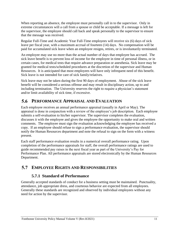When reporting an absence, the employee must personally call in to the supervisor. Only in extreme circumstances will a call from a spouse or child be acceptable. If a message is left for the supervisor, the employee should call back and speak personally to the supervisor to ensure that the message was received.

Regular Full-Time and Academic Year Full-Time employees will receive six (6) days of sick leave per fiscal year, with a maximum accrual of fourteen (14) days. No compensation will be paid for accumulated sick leave when an employee resigns, retires, or is involuntarily terminated.

An employee may use no more than the actual number of days that employee has accrued. The sick leave benefit is to prevent loss of income for the employee in time of personal illness, or in certain cases, for medical tests that require advance preparation or anesthesia. Sick leave may be granted for medical tests/scheduled procedures at the discretion of the supervisor and Human Resources. It is anticipated that most employees will have only infrequent need of this benefit. Sick leave is not intended for care of sick family/relatives.

Sick leave may not be taken during the first 90 days of employment. Abuse of the sick leave benefit will be considered a serious offense and may result in disciplinary action, up to and including termination. The University reserves the right to require a physician's statement and/or limit availability of sick time, if excessive.

#### <span id="page-10-0"></span>5.6 **PERFORMANCE APPRAISAL AND EVALUATION**

Each employee receives an annual performance appraisal (usually in April or May). The appraisal is done in conjunction with a review of the employee's job description. Each employee submits a self-evaluation to his/her supervisor. The supervisor completes the evaluation, discusses it with the employee and gives the employee the opportunity to make oral and written comments. The employee must sign the evaluation acknowledging the employee has received a copy. If an employee should refuse to sign a performance evaluation, the supervisor should notify the Human Resources department and note the refusal to sign on the form with a witness present.

Each staff performance evaluation results in a numerical overall performance rating. Upon completion of the performance appraisals for staff, the overall performance ratings are used to guide recommended pay raises in the next fiscal year as part of the University's Pay for Performance Plan. All performance appraisals are stored electronically by the Human Resources Department.

#### <span id="page-10-2"></span><span id="page-10-1"></span> $5.7<sub>2</sub>$ **EMPLOYEE RIGHTS AND RESPONSIBILITIES**

# **5.7.1 Standard of Performance**

Generally accepted standards of conduct for a business setting must be maintained. Punctuality, attendance, job appropriate dress, and courteous behavior are expected from all employees. Generally these standards are recognized and observed by individual employees without any need for action by the supervisor.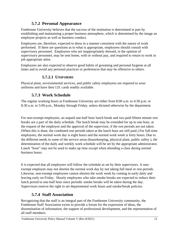# **5.7.2 Personal Appearance**

<span id="page-11-0"></span>Fontbonne University believes that the success of the institution is determined in part by establishing and maintaining a proper business atmosphere, which is determined by the image an employee projects as well as business conduct.

Employees are, therefore, expected to dress in a manner consistent with the nature of work performed. If there are questions as to what is appropriate, employees should consult with supervisory personnel. Employees who are inappropriately dressed, in the opinion of supervisory personnel, may be sent home, with or without pay, and required to return to work in job appropriate attire.

Employees are also expected to observe good habits of grooming and personal hygiene at all times and to avoid any personal practices or preferences that may be offensive to others.

### **5.7.2.1 UNIFORMS**

Physical plant, environmental services, and public safety employees are required to wear uniforms and have their I.D. cards readily available.

# **5.7.3 Work Schedule**

<span id="page-11-1"></span>The regular working hours at Fontbonne University are either from 8:00 a.m. to 4:30 p.m. or 8:30 a.m. to 5:00 p.m., Monday through Friday, unless dictated otherwise by the department.

For non-exempt employees, an unpaid one-half hour lunch break and two paid fifteen minute rest breaks are a part of the daily schedule. The lunch break may be extended for up to one hour, at the request of the employee and the approval of the supervisor, if the rest periods are not taken. (When this is done, the combined rest periods taken at the lunch hour are still paid.) For full-time employees, the normal work day is eight hours and the normal work week is forty hours. Due to the different needs in some of the service areas (housekeeping, physical plant, public safety ), the determination of the daily and weekly work schedule will be set by the appropriate administrator. Lunch "hour" may not be used to make up time except when attending a class during normal business hours.

It is expected that all employees will follow the schedule as set by their supervisors. A nonexempt employee may not shorten the normal work day by not taking full meal or rest periods. Likewise, non-exempt employees cannot shorten the work week by coming in early daily and leaving early on Friday. Hourly employees who take smoke breaks are expected to reduce their lunch period to one-half hour since periodic smoke breaks will be taken during the day. Supervisors reserve the right to set departmental work hours and smoke/break policies.

# **5.7.4 Staff Association**

<span id="page-11-2"></span>Recognizing that the staff is an integral part of the Fontbonne University community, the Fontbonne Staff Association exists to provide a forum for the expression of ideas, the dissemination of information, the support of professional development, and the representation of all staff members.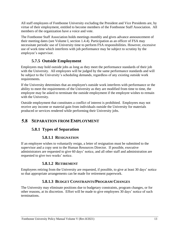All staff employees of Fontbonne University excluding the President and Vice Presidents are, by virtue of their employment, entitled to become members of the Fontbonne Staff Association. All members of the organization have a voice and vote.

The Fontbonne Staff Association holds meetings monthly and gives advance announcement of their meeting dates (see Volume I, section 1.4.4). Participation as an officer of FSA may necessitate periodic use of University time to perform FSA responsibilities. However, excessive use of work time which interferes with job performance may be subject to scrutiny by the employee's supervisor.

# **5.7.5 Outside Employment**

<span id="page-12-0"></span>Employees may hold outside jobs as long as they meet the performance standards of their job with the University. All employees will be judged by the same performance standards and will be subject to the University's scheduling demands, regardless of any existing outside work requirements.

If the University determines that an employee's outside work interferes with performance or the ability to meet the requirements of the University as they are modified from time to time, the employee may be asked to terminate the outside employment if the employee wishes to remain with the University.

Outside employment that constitutes a conflict of interest is prohibited. Employees may not receive any income or material gain from individuals outside the University for materials produced or services rendered while performing their University jobs.

# <span id="page-12-2"></span><span id="page-12-1"></span>**5.8 SEPARATION FROM EMPLOYMENT**

# **5.8.1 Types of Separation**

## **5.8.1.1 RESIGNATION**

If an employee wishes to voluntarily resign, a letter of resignation must be submitted to the supervisor and a copy sent to the Human Resources Director. If possible, executive administrators are requested to give 60 days' notice, and all other staff and administration are requested to give two weeks' notice.

## **5.8.1.2 RETIREMENT**

Employees retiring from the University are requested, if possible, to give at least 30 days' notice so that appropriate arrangements can be made for retirement paperwork.

# **5.8.1.3 BUDGET CONSTRAINTS/PROGRAM CHANGES**

The University may eliminate positions due to budgetary constraints, program changes, or for other reasons, at its discretion. Effort will be made to give employees 30 days' notice of such terminations.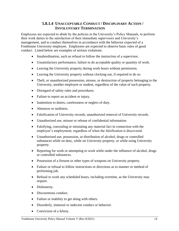### **5.8.1.4 UNACCEPTABLE CONDUCT / DISCIPLINARY ACTION / INVOLUNTARY TERMINATION**

Employees are expected to abide by the policies in the University's Policy Manuals, to perform their work duties to the satisfaction of their immediate supervisors and University's management, and to conduct themselves in accordance with the behavior expected of a Fontbonne University employee. Employees are expected to observe basic rules of good conduct. Listed below are examples of serious violations.

- Insubordination, such as refusal to follow the instruction of a supervisor.
- Unsatisfactory performance, failure to do acceptable quality or quantity of work.
- Leaving the University property during work hours without permission.
- Leaving the University property without clocking out, if required to do so.
- Theft, or unauthorized possession, misuse, or destruction of property belonging to the University, another employee or student, regardless of the value of such property.
- Disregard of safety rules and procedures.
- Failure to report an accident or injury.
- Inattention to duties, carelessness or neglect of duty.
- Absences or tardiness.
- Falsification of University records, unauthorized removal of University records.
- Unauthorized use, misuse or release of confidential information.
- Falsifying, concealing or misstating any material fact in connection with the employee's employment, regardless of when the falsification is discovered.
- Unauthorized use, possession, or distribution of alcohol, drugs or controlled substances while on duty, while on University property, or while using University property.
- Reporting for work or attempting to work while under the influence of alcohol, drugs or controlled substances.
- Possession of a firearm or other types of weapons on University property.
- Failure or refusal to follow instructions or directions as to manner or method of performing job.
- Refusal to work any scheduled hours, including overtime, as the University may require.
- Dishonesty.
- Discourteous conduct.
- Failure or inability to get along with others.
- Disorderly, immoral or indecent conduct or behavior.
- Conviction of a felony.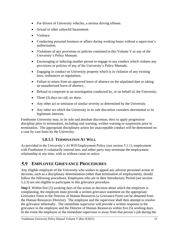- For drivers of University vehicles, a serious driving offense.
- Sexual or other unlawful harassment.
- Violence.
- Conducting personal business or affairs during working hours without a supervisor's authorization.
- Violations of any provisions or policies contained in this Volume V or any of the University's Policy Manuals.
- Encouraging or inducing another person to engage in any conduct which violates any provisions or policies of any of the University's Policy Manuals.
- Engaging in conduct on University property which is in violation of any existing laws, ordinances or regulations.
- Failure to return from an approved leave of absence on the stipulated date or taking an unauthorized leave of absence.
- Refusal to cooperate in an investigation conducted by, or on behalf of, the University.
- Three (3) days no call, no show.
- Any other act or omission of similar severity as determined by the University.
- Any other act which the University in its sole discretion considers detrimental to its legitimate interests.

Fontbonne University may, in its sole and absolute discretion, elect to apply progressive discipline prior to termination, including oral warning, written warning or suspension prior to termination. The appropriate disciplinary action for unacceptable conduct will be determined on a case by case basis by the University.

# **5.8.1.5 TERMINATION AT WILL**

As provided in the University's At Will Employment Policy (see section 5.1.1), employment with Fontbonne is voluntarily entered into, and either party may terminate the employment relationship at any time, with or without cause or notice.

#### <span id="page-14-0"></span> $5.9$ **EMPLOYEE GRIEVANCE PROCEDURES**

Any eligible employee of the University who wishes to appeal any adverse personnel action or decision, such as a disciplinary determination (other than termination of employment), should follow the following procedures. Employees who are in their Introductory Period (see section 5.2.3) are not eligible to participate in this grievance procedure.

**Step I**: Within five (5) working days of the action or decision about which the employee is complaining, the employee must provide a written grievance statement on the appropriate Grievance Form to the Director of Human Resources (a Grievance Form can be obtained from the Human Resources Director). The employee and the supervisor shall then attempt to resolve the grievance informally. The immediate supervisor will provide a written response to the grievance to the employee and the Director of Human Resources within five (5) working days. In the event the employee or the immediate supervisor is away from that person's job during the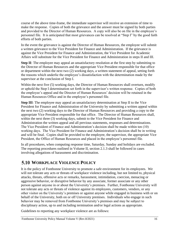course of the above time-frame, the immediate supervisor will receive an extension of time to make the response. Copies of both the grievance and the answer must be signed by both parties and provided to the Director of Human Resources. A copy will also be on file in the employee's personnel file. It is anticipated that most grievances can be resolved at "Step I" by the good faith efforts of both parties.

In the event the grievance is against the Director of Human Resources, the employee will submit a written grievance to the Vice President for Finance and Administration. If the grievance is against the Vice President for Finance and Administration, the Vice President for Academic Affairs will substitute for the Vice President for Finance and Administration in steps II and III.

**Step II**: The employee may appeal an unsatisfactory resolution at the first step by submitting to the Director of Human Resources and the appropriate Vice President responsible for that office or department within the next two (2) working days, a written statement of appeal, setting forth the reasons which underlie the employee's dissatisfaction with the determination made by the supervisor at the conclusion of Step I.

Within the next five (5) working days, the Director of Human Resources shall overturn, modify or uphold the Step I determination set forth in the supervisor's written response. Copies of both the employee's appeal and the Director of Human Resources' decision will be retained in the Human Resources Office and in the employee's personnel file.

**Step III**: The employee may appeal an unsatisfactory determination at Step II to the Vice President for Finance and Administration of the University by submitting a written appeal within the next two (2) working days to the Director of Human Resources and providing a copy to the appropriate Vice President responsible for that office. The Director of Human Resources shall, within the next three (3) working days, submit to the Vice President for Finance and Administration the written appeal and all previous statements, responses and determinations. The Vice President of Finance and Administration's decision shall be made within ten (10) working days. The Vice President for Finance and Administration's decision shall be in writing and will be final. Copies shall be provided to the employee, the supervisor, the appropriate Vice President, the Office of Human Resources and placed in the employee's personnel file.

In all procedures, when computing response time, Saturday, Sunday and holidays are excluded. The reporting procedures outlined in Volume II, section 2.1.3 shall be followed in cases involving allegations of harassment and discrimination.

# <span id="page-15-0"></span>**WORKPLACE VIOLENCE POLICY**

It is the policy of Fontbonne University to promote a safe environment for its employees. We will not tolerate any acts or threats of workplace violence including, but not limited to, physical attacks, threats, offensive acts or remarks, harassment, intimidation, coercion, menacing or aggressive behavior, or disruptive behavior by any associate, former associate or any other person against anyone in or about the University's premises. Further, Fontbonne University will not tolerate any acts or threats of violence against its employees, customers, vendors, or any other visitor on the University's premises or against anyone while engaged in business with or on behalf of the University, both on or off University premises. Individuals who engage in such behavior may be removed from Fontbonne University's premises and may be subject to disciplinary action, up to and including termination and/or legal actions as appropriate.

Guidelines to reporting any workplace violence are as follows: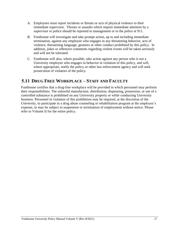- A. Employees must report incidents or threats or acts of physical violence to their immediate supervisor. Threats or assaults which require immediate attention by a supervisor or police should be reported to management or to the police at 911.
- B. Fontbonne will investigate and take prompt action, up to and including immediate termination, against any employee who engages in any threatening behavior, acts of violence, threatening language, gestures or other conduct prohibited by this policy. In addition, jokes or offensive comments regarding violent events will be taken seriously and will not be tolerated.
- C. Fontbonne will also, where possible, take action against any person who is not a University employee who engages in behavior in violation of this policy, and will, where appropriate, notify the policy or other law enforcement agency and will seek prosecution of violators of the policy.

# <span id="page-16-0"></span>**DRUG FREE WORKPLACE – STAFF AND FACULTY**

Fontbonne certifies that a drug-free workplace will be provided in which personnel may perform their responsibilities. The unlawful manufacture, distribution, dispensing, possession, or use of a controlled substance is prohibited on any University property or while conducting University business. Personnel in violation of this prohibition may be required, at the discretion of the University, to participate in a drug abuse counseling or rehabilitation program at the employee's expense, or may be subject to suspension or termination of employment without notice. Please refer to Volume II for the entire policy.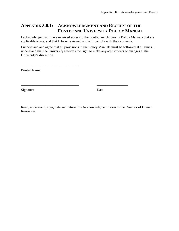# <span id="page-17-0"></span>**APPENDIX 5.0.1: ACKNOWLEDGMENT AND RECEIPT OF THE FONTBONNE UNIVERSITY POLICY MANUAL**

I acknowledge that I have received access to the Fontbonne University Policy Manuals that are applicable to me, and that I have reviewed and will comply with their contents.

I understand and agree that all provisions in the Policy Manuals must be followed at all times. I understand that the University reserves the right to make any adjustments or changes at the University's discretion.

Printed Name

\_\_\_\_\_\_\_\_\_\_\_\_\_\_\_\_\_\_\_\_\_\_\_\_\_\_\_\_\_\_\_\_\_

Signature Date

Read, understand, sign, date and return this Acknowledgment Form to the Director of Human Resources.

\_\_\_\_\_\_\_\_\_\_\_\_\_\_\_\_\_\_\_\_\_\_\_\_\_\_\_\_\_\_\_\_\_ \_\_\_\_\_\_\_\_\_\_\_\_\_\_\_\_\_\_